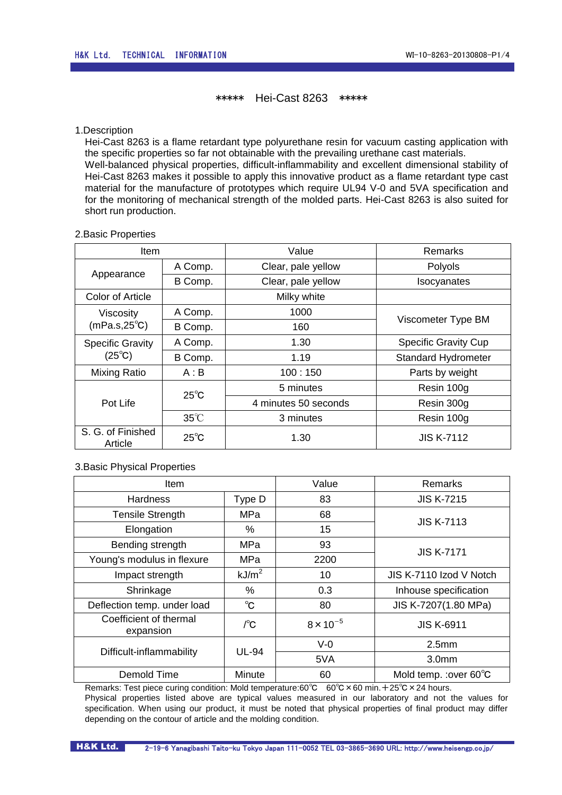# \*\*\*\*\* Hei-Cast 8263 \*\*\*\*\*

### 1.Description

Hei-Cast 8263 is a flame retardant type polyurethane resin for vacuum casting application with the specific properties so far not obtainable with the prevailing urethane cast materials. Well-balanced physical properties, difficult-inflammability and excellent dimensional stability of Hei-Cast 8263 makes it possible to apply this innovative product as a flame retardant type cast material for the manufacture of prototypes which require UL94 V-0 and 5VA specification and for the monitoring of mechanical strength of the molded parts. Hei-Cast 8263 is also suited for short run production.

### 2.Basic Properties

| Item                                                   |                | Value                         | Remarks                     |  |
|--------------------------------------------------------|----------------|-------------------------------|-----------------------------|--|
| Appearance                                             | A Comp.        | Clear, pale yellow<br>Polyols |                             |  |
|                                                        | B Comp.        | Clear, pale yellow            | Isocyanates                 |  |
| <b>Color of Article</b>                                |                | Milky white                   |                             |  |
| <b>Viscosity</b><br>$(mPa.s, 25^{\circ}C)$             | A Comp.        | 1000                          | Viscometer Type BM          |  |
|                                                        | B Comp.        | 160                           |                             |  |
| <b>Specific Gravity</b><br>$(25^{\circ}C)$             | A Comp.        | 1.30                          | <b>Specific Gravity Cup</b> |  |
|                                                        | B Comp.        | 1.19                          | <b>Standard Hydrometer</b>  |  |
| Mixing Ratio                                           | A : B          | 100:150                       | Parts by weight             |  |
| Pot Life                                               | $25^{\circ}$ C | 5 minutes                     | Resin 100g                  |  |
|                                                        |                | 4 minutes 50 seconds          | Resin 300g                  |  |
|                                                        | $35^{\circ}$ C | 3 minutes                     | Resin 100g                  |  |
| S. G. of Finished<br>$25^{\circ}$ C<br>1.30<br>Article |                |                               | <b>JIS K-7112</b>           |  |

## 3.Basic Physical Properties

| <b>Item</b>                         |                   | Value              | Remarks                 |
|-------------------------------------|-------------------|--------------------|-------------------------|
| <b>Hardness</b>                     | Type D            | 83                 | <b>JIS K-7215</b>       |
| <b>Tensile Strength</b>             | MPa               | 68                 | <b>JIS K-7113</b>       |
| Elongation                          | %                 | 15                 |                         |
| Bending strength                    | MPa               | 93                 | <b>JIS K-7171</b>       |
| Young's modulus in flexure          | MPa               | 2200               |                         |
| Impact strength                     | kJ/m <sup>2</sup> | 10                 | JIS K-7110 Izod V Notch |
| Shrinkage                           | %                 | 0.3                | Inhouse specification   |
| Deflection temp. under load         | $^{\circ}$ C      | 80                 | JIS K-7207(1.80 MPa)    |
| Coefficient of thermal<br>expansion | $\int^{\circ}$ C  | $8 \times 10^{-5}$ | <b>JIS K-6911</b>       |
|                                     | <b>UL-94</b>      | $V-0$              | 2.5 <sub>mm</sub>       |
| Difficult-inflammability            |                   | 5VA                | 3.0 <sub>mm</sub>       |
| Demold Time                         | Minute            | 60                 | Mold temp. : over 60°C  |

Remarks: Test piece curing condition: Mold temperature:60℃ 60℃ × 60 min. + 25℃ × 24 hours. Physical properties listed above are typical values measured in our laboratory and not the values for specification. When using our product, it must be noted that physical properties of final product may differ depending on the contour of article and the molding condition.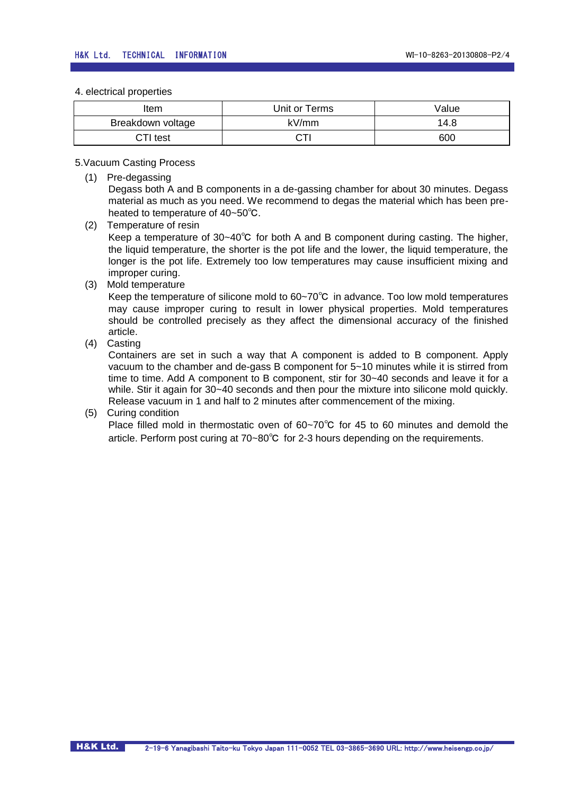4. electrical properties

| ltem              | Unit or Terms | Value |
|-------------------|---------------|-------|
| Breakdown voltage | kV/mm         | 14.8  |
| CTI test          |               | 600   |

5.Vacuum Casting Process

(1) Pre-degassing

Degass both A and B components in a de-gassing chamber for about 30 minutes. Degass material as much as you need. We recommend to degas the material which has been preheated to temperature of 40~50℃.

- (2) Temperature of resin Keep a temperature of 30~40℃ for both A and B component during casting. The higher, the liquid temperature, the shorter is the pot life and the lower, the liquid temperature, the longer is the pot life. Extremely too low temperatures may cause insufficient mixing and improper curing.
- (3) Mold temperature

Keep the temperature of silicone mold to 60~70℃ in advance. Too low mold temperatures may cause improper curing to result in lower physical properties. Mold temperatures should be controlled precisely as they affect the dimensional accuracy of the finished article.

(4) Casting

Containers are set in such a way that A component is added to B component. Apply vacuum to the chamber and de-gass B component for 5~10 minutes while it is stirred from time to time. Add A component to B component, stir for 30~40 seconds and leave it for a while. Stir it again for 30~40 seconds and then pour the mixture into silicone mold quickly. Release vacuum in 1 and half to 2 minutes after commencement of the mixing.

## (5) Curing condition

Place filled mold in thermostatic oven of 60~70℃ for 45 to 60 minutes and demold the article. Perform post curing at 70~80℃ for 2-3 hours depending on the requirements.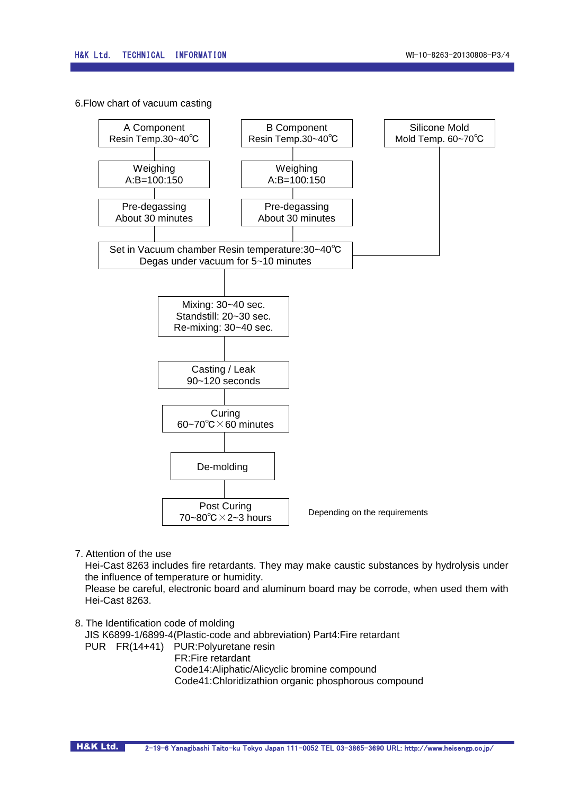6.Flow chart of vacuum casting



7. Attention of the use

Hei-Cast 8263 includes fire retardants. They may make caustic substances by hydrolysis under the influence of temperature or humidity.

Please be careful, electronic board and aluminum board may be corrode, when used them with Hei-Cast 8263.

8. The Identification code of molding JIS K6899-1/6899-4(Plastic-code and abbreviation) Part4:Fire retardant

PUR FR(14+41) PUR:Polyuretane resin FR:Fire retardant Code14:Aliphatic/Alicyclic bromine compound Code41:Chloridizathion organic phosphorous compound